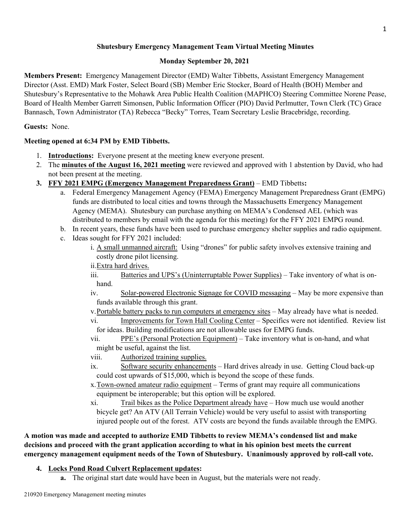### **Shutesbury Emergency Management Team Virtual Meeting Minutes**

### **Monday September 20, 2021**

**Members Present:** Emergency Management Director (EMD) Walter Tibbetts, Assistant Emergency Management Director (Asst. EMD) Mark Foster, Select Board (SB) Member Eric Stocker, Board of Health (BOH) Member and Shutesbury's Representative to the Mohawk Area Public Health Coalition (MAPHCO) Steering Committee Norene Pease, Board of Health Member Garrett Simonsen, Public Information Officer (PIO) David Perlmutter, Town Clerk (TC) Grace Bannasch, Town Administrator (TA) Rebecca "Becky" Torres, Team Secretary Leslie Bracebridge, recording.

### **Guests:** None.

### **Meeting opened at 6:34 PM by EMD Tibbetts.**

- 1. **Introductions:** Everyone present at the meeting knew everyone present.
- 2. The **minutes of the August 16, 2021 meeting** were reviewed and approved with 1 abstention by David, who had not been present at the meeting.
- **3. FFY 2021 EMPG (Emergency Management Preparedness Grant)** EMD Tibbetts**:**
	- a. Federal Emergency Management Agency (FEMA) Emergency Management Preparedness Grant (EMPG) funds are distributed to local cities and towns through the Massachusetts Emergency Management Agency (MEMA). Shutesbury can purchase anything on MEMA's Condensed AEL (which was distributed to members by email with the agenda for this meeting) for the FFY 2021 EMPG round.
	- b. In recent years, these funds have been used to purchase emergency shelter supplies and radio equipment.
	- c. Ideas sought for FFY 2021 included:
		- i. A small unmanned aircraft: Using "drones" for public safety involves extensive training and costly drone pilot licensing.
		- ii.Extra hard drives.

iii. Batteries and UPS's (Uninterruptable Power Supplies) – Take inventory of what is onhand.

- iv. Solar-powered Electronic Signage for COVID messaging May be more expensive than funds available through this grant.
- v.Portable battery packs to run computers at emergency sites May already have what is needed.
- vi. Improvements for Town Hall Cooling Center Specifics were not identified. Review list for ideas. Building modifications are not allowable uses for EMPG funds.
- vii. PPE's (Personal Protection Equipment) Take inventory what is on-hand, and what might be useful, against the list.
- viii. Authorized training supplies.
- ix. Software security enhancements Hard drives already in use. Getting Cloud back-up could cost upwards of \$15,000, which is beyond the scope of these funds.
- x.Town-owned amateur radio equipment Terms of grant may require all communications equipment be interoperable; but this option will be explored.
- xi. Trail bikes as the Police Department already have How much use would another bicycle get? An ATV (All Terrain Vehicle) would be very useful to assist with transporting injured people out of the forest. ATV costs are beyond the funds available through the EMPG.

**A motion was made and accepted to authorize EMD Tibbetts to review MEMA's condensed list and make decisions and proceed with the grant application according to what in his opinion best meets the current emergency management equipment needs of the Town of Shutesbury. Unanimously approved by roll-call vote.**

## **4. Locks Pond Road Culvert Replacement updates:**

**a.** The original start date would have been in August, but the materials were not ready.